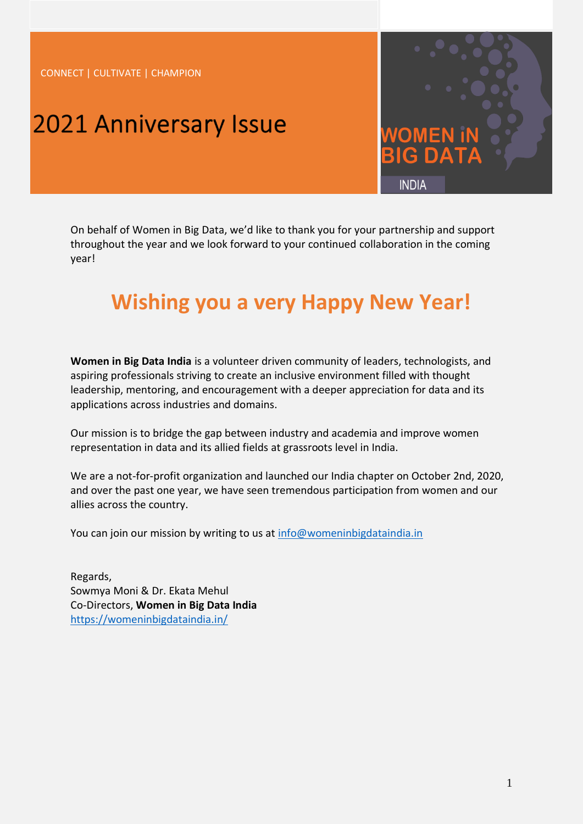CONNECT | CULTIVATE | CHAMPION

# **2021 Anniversary Issue**



On behalf of Women in Big Data, we'd like to thank you for your partnership and support throughout the year and we look forward to your continued collaboration in the coming year!

# **Wishing you a very Happy New Year!**

**Women in Big Data India** is a volunteer driven community of leaders, technologists, and aspiring professionals striving to create an inclusive environment filled with thought leadership, mentoring, and encouragement with a deeper appreciation for data and its applications across industries and domains.

Our mission is to bridge the gap between industry and academia and improve women representation in data and its allied fields at grassroots level in India.

We are a not-for-profit organization and launched our India chapter on October 2nd, 2020, and over the past one year, we have seen tremendous participation from women and our allies across the country.

You can join our mission by writing to us at [info@womeninbigdataindia.in](mailto:info@womeninbigdataindia.in)

Regards, Sowmya Moni & Dr. Ekata Mehul Co-Directors, **Women in Big Data India** <https://womeninbigdataindia.in/>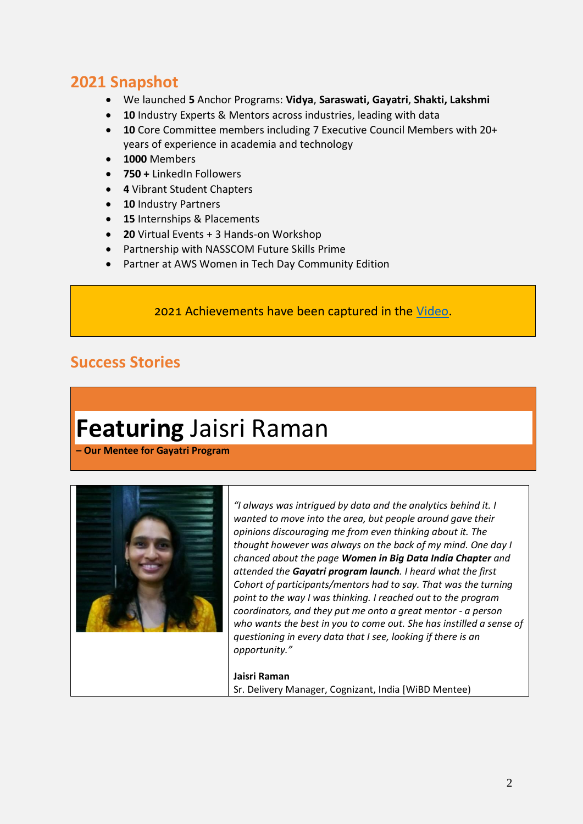### **2021 Snapshot**

- We launched **5** Anchor Programs: **Vidya**, **Saraswati, Gayatri**, **Shakti, Lakshmi**
- **10** Industry Experts & Mentors across industries, leading with data
- **10** Core Committee members including 7 Executive Council Members with 20+ years of experience in academia and technology
- **1000** Members
- **750 +** LinkedIn Followers
- **4** Vibrant Student Chapters
- **10** Industry Partners
- 15 Internships & Placements
- **20** Virtual Events + 3 Hands-on Workshop
- Partnership with NASSCOM Future Skills Prime
- Partner at AWS Women in Tech Day Community Edition

#### 2021 Achievements have been captured in the [Video.](https://www.youtube.com/watch?v=tnSIhJEIcWA)

### **Success Stories**

# **Featuring** Jaisri Raman

**– Our Mentee for Gayatri Program**



*"I always was intrigued by data and the analytics behind it. I wanted to move into the area, but people around gave their opinions discouraging me from even thinking about it. The thought however was always on the back of my mind. One day I chanced about the page Women in Big Data India Chapter and attended the Gayatri program launch. I heard what the first Cohort of participants/mentors had to say. That was the turning point to the way I was thinking. I reached out to the program coordinators, and they put me onto a great mentor - a person who wants the best in you to come out. She has instilled a sense of questioning in every data that I see, looking if there is an opportunity."*

**Jaisri Raman** Sr. Delivery Manager, Cognizant, India [WiBD Mentee)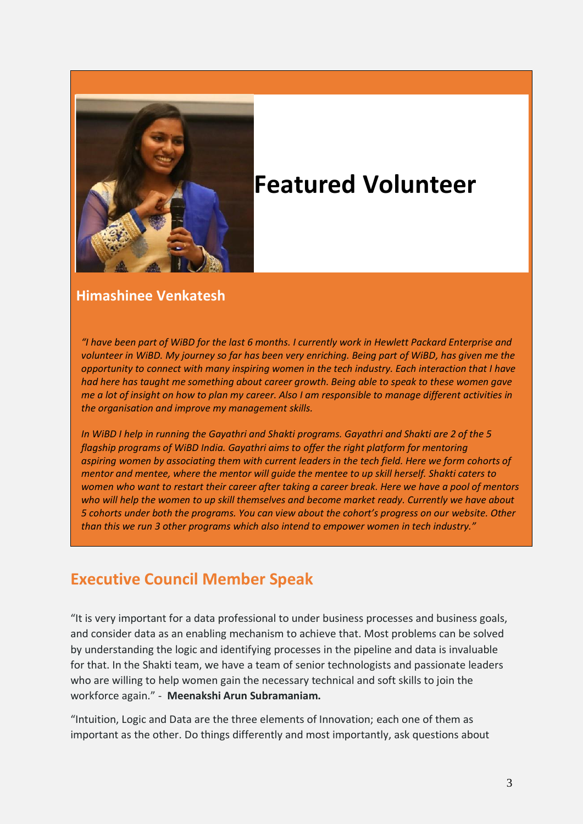

# **Featured Volunteer**

#### **Himashinee Venkatesh**

*"I have been part of WiBD for the last 6 months. I currently work in Hewlett Packard Enterprise and volunteer in WiBD. My journey so far has been very enriching. Being part of WiBD, has given me the opportunity to connect with many inspiring women in the tech industry. Each interaction that I have had here has taught me something about career growth. Being able to speak to these women gave me a lot of insight on how to plan my career. Also I am responsible to manage different activities in the organisation and improve my management skills.*

*In WiBD I help in running the Gayathri and Shakti programs. Gayathri and Shakti are 2 of the 5 flagship programs of WiBD India. Gayathri aims to offer the right platform for mentoring aspiring women by associating them with current leaders in the tech field. Here we form cohorts of mentor and mentee, where the mentor will guide the mentee to up skill herself. Shakti caters to women who want to restart their career after taking a career break. Here we have a pool of mentors who will help the women to up skill themselves and become market ready. Currently we have about 5 cohorts under both the programs. You can view about the cohort's progress on our website. Other than this we run 3 other programs which also intend to empower women in tech industry."*

## **Executive Council Member Speak**

"It is very important for a data professional to under business processes and business goals, and consider data as an enabling mechanism to achieve that. Most problems can be solved by understanding the logic and identifying processes in the pipeline and data is invaluable for that. In the Shakti team, we have a team of senior technologists and passionate leaders who are willing to help women gain the necessary technical and soft skills to join the workforce again." - **Meenakshi Arun Subramaniam.**

"Intuition, Logic and Data are the three elements of Innovation; each one of them as important as the other. Do things differently and most importantly, ask questions about